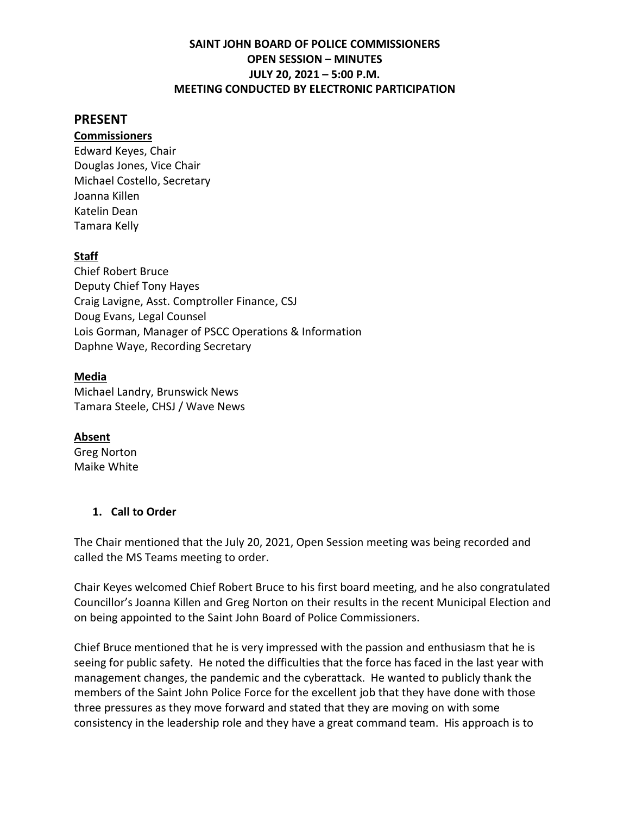#### **PRESENT**

#### **Commissioners**

Edward Keyes, Chair Douglas Jones, Vice Chair Michael Costello, Secretary Joanna Killen Katelin Dean Tamara Kelly

#### **Staff**

Chief Robert Bruce Deputy Chief Tony Hayes Craig Lavigne, Asst. Comptroller Finance, CSJ Doug Evans, Legal Counsel Lois Gorman, Manager of PSCC Operations & Information Daphne Waye, Recording Secretary

#### **Media**

Michael Landry, Brunswick News Tamara Steele, CHSJ / Wave News

#### **Absent**

Greg Norton Maike White

#### **1. Call to Order**

The Chair mentioned that the July 20, 2021, Open Session meeting was being recorded and called the MS Teams meeting to order.

Chair Keyes welcomed Chief Robert Bruce to his first board meeting, and he also congratulated Councillor's Joanna Killen and Greg Norton on their results in the recent Municipal Election and on being appointed to the Saint John Board of Police Commissioners.

Chief Bruce mentioned that he is very impressed with the passion and enthusiasm that he is seeing for public safety. He noted the difficulties that the force has faced in the last year with management changes, the pandemic and the cyberattack. He wanted to publicly thank the members of the Saint John Police Force for the excellent job that they have done with those three pressures as they move forward and stated that they are moving on with some consistency in the leadership role and they have a great command team. His approach is to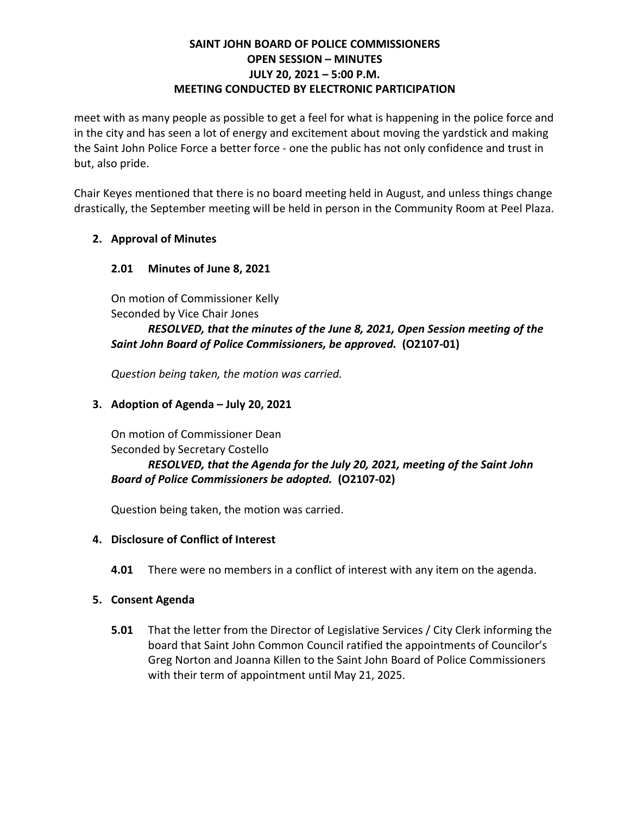meet with as many people as possible to get a feel for what is happening in the police force and in the city and has seen a lot of energy and excitement about moving the yardstick and making the Saint John Police Force a better force - one the public has not only confidence and trust in but, also pride.

Chair Keyes mentioned that there is no board meeting held in August, and unless things change drastically, the September meeting will be held in person in the Community Room at Peel Plaza.

## **2. Approval of Minutes**

## **2.01 Minutes of June 8, 2021**

On motion of Commissioner Kelly Seconded by Vice Chair Jones

### *RESOLVED, that the minutes of the June 8, 2021, Open Session meeting of the Saint John Board of Police Commissioners, be approved.* **(O2107-01)**

*Question being taken, the motion was carried.*

## **3. Adoption of Agenda – July 20, 2021**

On motion of Commissioner Dean Seconded by Secretary Costello

## *RESOLVED, that the Agenda for the July 20, 2021, meeting of the Saint John Board of Police Commissioners be adopted.* **(O2107-02)**

Question being taken, the motion was carried.

## **4. Disclosure of Conflict of Interest**

**4.01** There were no members in a conflict of interest with any item on the agenda.

## **5. Consent Agenda**

**5.01** That the letter from the Director of Legislative Services / City Clerk informing the board that Saint John Common Council ratified the appointments of Councilor's Greg Norton and Joanna Killen to the Saint John Board of Police Commissioners with their term of appointment until May 21, 2025.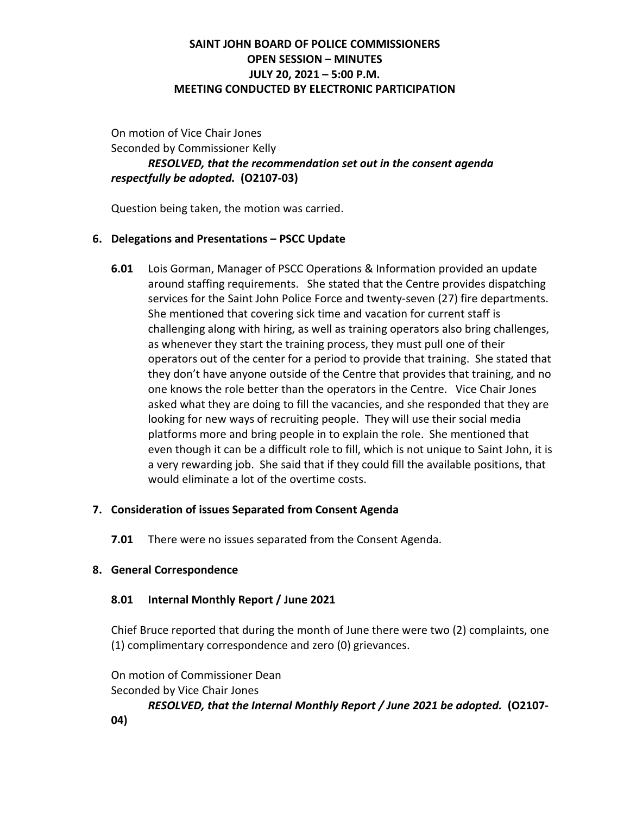On motion of Vice Chair Jones Seconded by Commissioner Kelly *RESOLVED, that the recommendation set out in the consent agenda respectfully be adopted.* **(O2107-03)**

Question being taken, the motion was carried.

#### **6. Delegations and Presentations – PSCC Update**

**6.01** Lois Gorman, Manager of PSCC Operations & Information provided an update around staffing requirements. She stated that the Centre provides dispatching services for the Saint John Police Force and twenty-seven (27) fire departments. She mentioned that covering sick time and vacation for current staff is challenging along with hiring, as well as training operators also bring challenges, as whenever they start the training process, they must pull one of their operators out of the center for a period to provide that training. She stated that they don't have anyone outside of the Centre that provides that training, and no one knows the role better than the operators in the Centre. Vice Chair Jones asked what they are doing to fill the vacancies, and she responded that they are looking for new ways of recruiting people. They will use their social media platforms more and bring people in to explain the role. She mentioned that even though it can be a difficult role to fill, which is not unique to Saint John, it is a very rewarding job. She said that if they could fill the available positions, that would eliminate a lot of the overtime costs.

## **7. Consideration of issues Separated from Consent Agenda**

**7.01** There were no issues separated from the Consent Agenda.

#### **8. General Correspondence**

## **8.01 Internal Monthly Report / June 2021**

Chief Bruce reported that during the month of June there were two (2) complaints, one (1) complimentary correspondence and zero (0) grievances.

On motion of Commissioner Dean Seconded by Vice Chair Jones

*RESOLVED, that the Internal Monthly Report / June 2021 be adopted.* **(O2107-**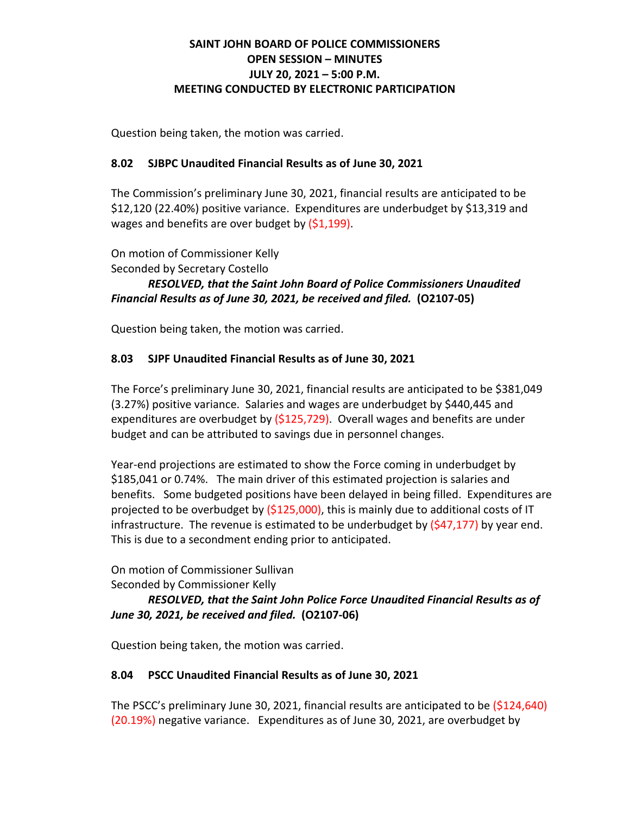Question being taken, the motion was carried.

### **8.02 SJBPC Unaudited Financial Results as of June 30, 2021**

The Commission's preliminary June 30, 2021, financial results are anticipated to be \$12,120 (22.40%) positive variance. Expenditures are underbudget by \$13,319 and wages and benefits are over budget by (\$1,199).

On motion of Commissioner Kelly

Seconded by Secretary Costello

*RESOLVED, that the Saint John Board of Police Commissioners Unaudited Financial Results as of June 30, 2021, be received and filed.* **(O2107-05)**

Question being taken, the motion was carried.

## **8.03 SJPF Unaudited Financial Results as of June 30, 2021**

The Force's preliminary June 30, 2021, financial results are anticipated to be \$381,049 (3.27%) positive variance. Salaries and wages are underbudget by \$440,445 and expenditures are overbudget by (\$125,729). Overall wages and benefits are under budget and can be attributed to savings due in personnel changes.

Year-end projections are estimated to show the Force coming in underbudget by \$185,041 or 0.74%. The main driver of this estimated projection is salaries and benefits. Some budgeted positions have been delayed in being filled. Expenditures are projected to be overbudget by  $(5125,000)$ , this is mainly due to additional costs of IT infrastructure. The revenue is estimated to be underbudget by  $(547,177)$  by year end. This is due to a secondment ending prior to anticipated.

On motion of Commissioner Sullivan

Seconded by Commissioner Kelly

*RESOLVED, that the Saint John Police Force Unaudited Financial Results as of June 30, 2021, be received and filed.* **(O2107-06)**

Question being taken, the motion was carried.

## **8.04 PSCC Unaudited Financial Results as of June 30, 2021**

The PSCC's preliminary June 30, 2021, financial results are anticipated to be (\$124,640) (20.19%) negative variance. Expenditures as of June 30, 2021, are overbudget by